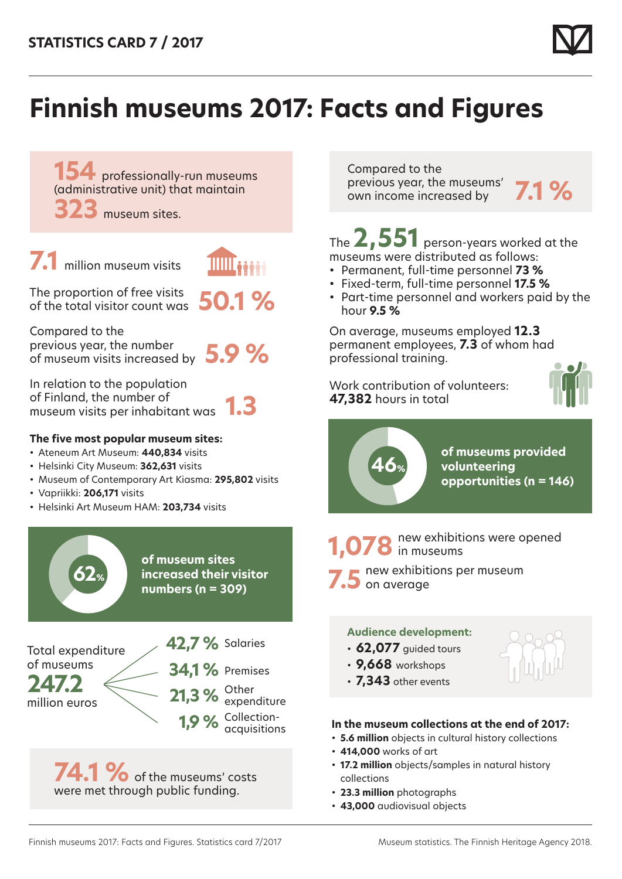

# **Finnish museums 2017: Facts and Figures**

**154** professionally-run museums (administrative unit) that maintain

**323** museum sites.

**7.1** million museum visits

The proportion of free visits of the total visitor count was **50.1 %**

Compared to the previous year, the number of museum visits increased by **5.9 %**

In relation to the population of Finland, the number of museum visits per inhabitant was **1.3**

## **The five most popular museum sites:**

- Ateneum Art Museum: **440,834** visits
- Helsinki City Museum: **362,631** visits
- Museum of Contemporary Art Kiasma: **295,802** visits
- Vapriikki: **206,171** visits

**62%**

• Helsinki Art Museum HAM: **203,734** visits

**of museum sites increased their visitor numbers (n = 309)**

Total expenditure of museums

**247.2** million euros **42,7 %** Salaries **34,1 %** Premises

**21,3 %** Other **1,9 %** Collectionexpenditure acquisitions

74.1 % of the museums' costs were met through public funding.

Compared to the previous year, the museums' previous year, the museums **7.1 %**<br>own income increased by

The **2,551** person-years worked at the museums were distributed as follows:

- Permanent, full-time personnel **73 %**
- Fixed-term, full-time personnel **17.5 %**
- Part-time personnel and workers paid by the hour **9.5 %**

On average, museums employed **12.3** permanent employees, **7.3** of whom had professional training.

Work contribution of volunteers: **47,382** hours in total





**7.5** new exhibitions per museum<br> **7.5** on average **1,078** new exhibitions were opened

## **Audience development:**

- **62,077** guided tours
- **9,668** workshops
- **7,343** other events



- **5.6 million** objects in cultural history collections
- **414,000** works of art
- **17.2 million** objects/samples in natural history collections
- **23.3 million** photographs
- **43,000** audiovisual objects